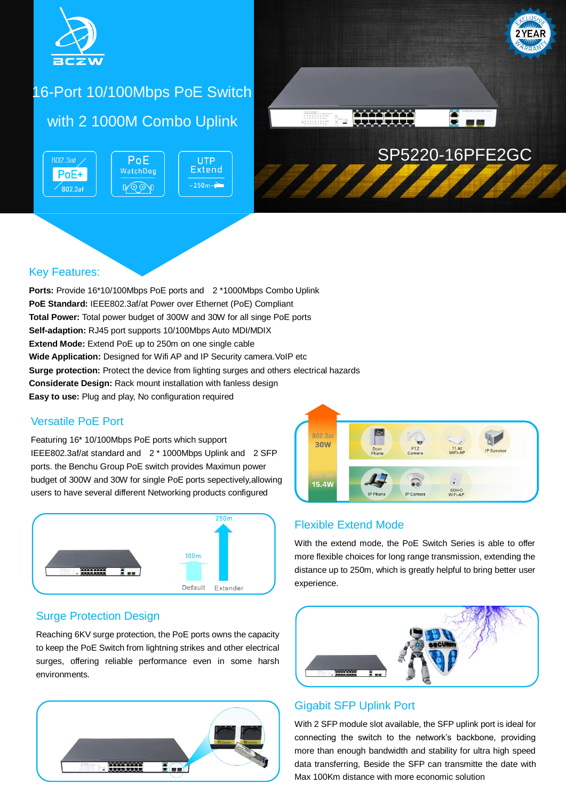

# 16-Port 10/100Mbps PoE Switch

## with 2 1000M Combo Uplink

PoE

WatchDog

**A** 

802.3at PoE+  $\degree$ 802.3af





### Key Features:

**Ports:** Provide 16\*10/100Mbps PoE ports and 2 \*1000Mbps Combo Uplink **PoE Standard:** IEEE802.3af/at Power over Ethernet (PoE) Compliant **Total Power:** Total power budget of 300W and 30W for all singe PoE ports **Self-adaption:** RJ45 port supports 10/100Mbps Auto MDI/MDIX **Extend Mode:** Extend PoE up to 250m on one single cable **Wide Application:** Designed for Wifi AP and IP Security camera. VoIP etc **Surge protection:** Protect the device from lighting surges and others electrical hazards **Considerate Design:** Rack mount installation with fanless design **Easy to use:** Plug and play, No configuration required

### Versatile PoE Port

Featuring 16\* 10/100Mbps PoE ports which support IEEE802.3af/at standard and 2 \* 1000Mbps Uplink and 2 SFP ports. the Benchu Group PoE switch provides Maximun power budget of 300W and 30W for single PoE ports sepectively,allowing users to have several different Networking products configured



### Surge Protection Design

Reaching 6KV surge protection, the PoE ports owns the capacity to keep the PoE Switch from lightning strikes and other electrical surges, offering reliable performance even in some harsh environments.





### Flexible Extend Mode

With the extend mode, the PoE Switch Series is able to offer more flexible choices for long range transmission, extending the distance up to 250m, which is greatly helpful to bring better user experience.



### Gigabit SFP Uplink Port

With 2 SFP module slot available, the SFP uplink port is ideal for connecting the switch to the network's backbone, providing more than enough bandwidth and stability for ultra high speed data transferring, Beside the SFP can transmitte the date with Max 100Km distance with more economic solution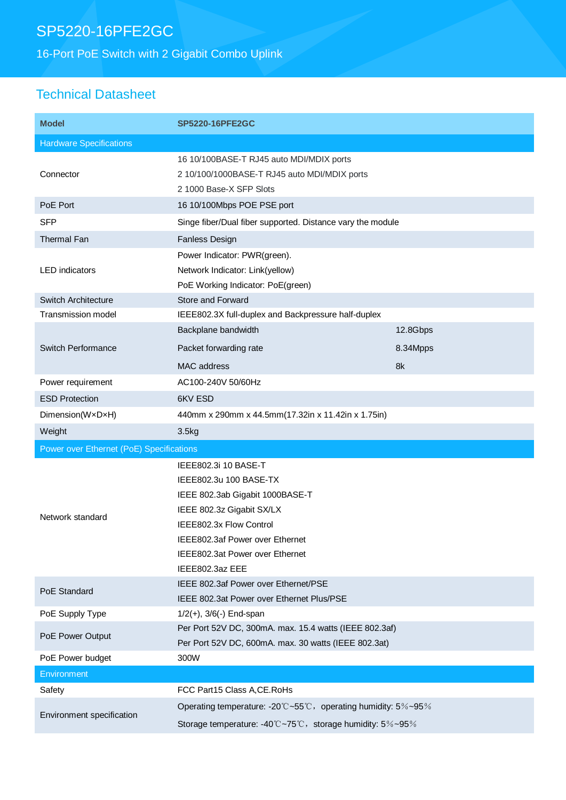# SP5220-16PFE2GC

16-Port PoE Switch with 2 Gigabit Combo Uplink

## Technical Datasheet

| <b>Model</b>                             | <b>SP5220-16PFE2GC</b>                                                                                                                                                                                                             |          |
|------------------------------------------|------------------------------------------------------------------------------------------------------------------------------------------------------------------------------------------------------------------------------------|----------|
| <b>Hardware Specifications</b>           |                                                                                                                                                                                                                                    |          |
| Connector                                | 16 10/100BASE-T RJ45 auto MDI/MDIX ports<br>2 10/100/1000BASE-T RJ45 auto MDI/MDIX ports<br>2 1000 Base-X SFP Slots                                                                                                                |          |
| PoE Port                                 | 16 10/100Mbps POE PSE port                                                                                                                                                                                                         |          |
| <b>SFP</b>                               | Singe fiber/Dual fiber supported. Distance vary the module                                                                                                                                                                         |          |
| <b>Thermal Fan</b>                       | <b>Fanless Design</b>                                                                                                                                                                                                              |          |
| <b>LED</b> indicators                    | Power Indicator: PWR(green).<br>Network Indicator: Link(yellow)<br>PoE Working Indicator: PoE(green)                                                                                                                               |          |
| Switch Architecture                      | <b>Store and Forward</b>                                                                                                                                                                                                           |          |
| Transmission model                       | IEEE802.3X full-duplex and Backpressure half-duplex                                                                                                                                                                                |          |
| <b>Switch Performance</b>                | Backplane bandwidth                                                                                                                                                                                                                | 12.8Gbps |
|                                          | Packet forwarding rate                                                                                                                                                                                                             | 8.34Mpps |
|                                          | <b>MAC</b> address                                                                                                                                                                                                                 | 8k       |
| Power requirement                        | AC100-240V 50/60Hz                                                                                                                                                                                                                 |          |
| <b>ESD Protection</b>                    | 6KV ESD                                                                                                                                                                                                                            |          |
| Dimension(WxDxH)                         | 440mm x 290mm x 44.5mm(17.32in x 11.42in x 1.75in)                                                                                                                                                                                 |          |
| Weight                                   | 3.5kg                                                                                                                                                                                                                              |          |
| Power over Ethernet (PoE) Specifications |                                                                                                                                                                                                                                    |          |
| Network standard                         | IEEE802.3i 10 BASE-T<br>IEEE802.3u 100 BASE-TX<br>IEEE 802.3ab Gigabit 1000BASE-T<br>IEEE 802.3z Gigabit SX/LX<br>IEEE802.3x Flow Control<br>IEEE802.3af Power over Ethernet<br>IEEE802.3at Power over Ethernet<br>IEEE802.3az EEE |          |
| PoE Standard                             | IEEE 802.3af Power over Ethernet/PSE<br>IEEE 802.3at Power over Ethernet Plus/PSE                                                                                                                                                  |          |
| PoE Supply Type                          | $1/2(+)$ , $3/6(-)$ End-span                                                                                                                                                                                                       |          |
| PoE Power Output                         | Per Port 52V DC, 300mA. max. 15.4 watts (IEEE 802.3af)<br>Per Port 52V DC, 600mA. max. 30 watts (IEEE 802.3at)                                                                                                                     |          |
| PoE Power budget                         | 300W                                                                                                                                                                                                                               |          |
| Environment                              |                                                                                                                                                                                                                                    |          |
| Safety                                   | FCC Part15 Class A, CE. RoHs                                                                                                                                                                                                       |          |
| Environment specification                | Operating temperature: -20°C~55°C, operating humidity: 5%~95%<br>Storage temperature: -40°C~75°C, storage humidity: 5%~95%                                                                                                         |          |